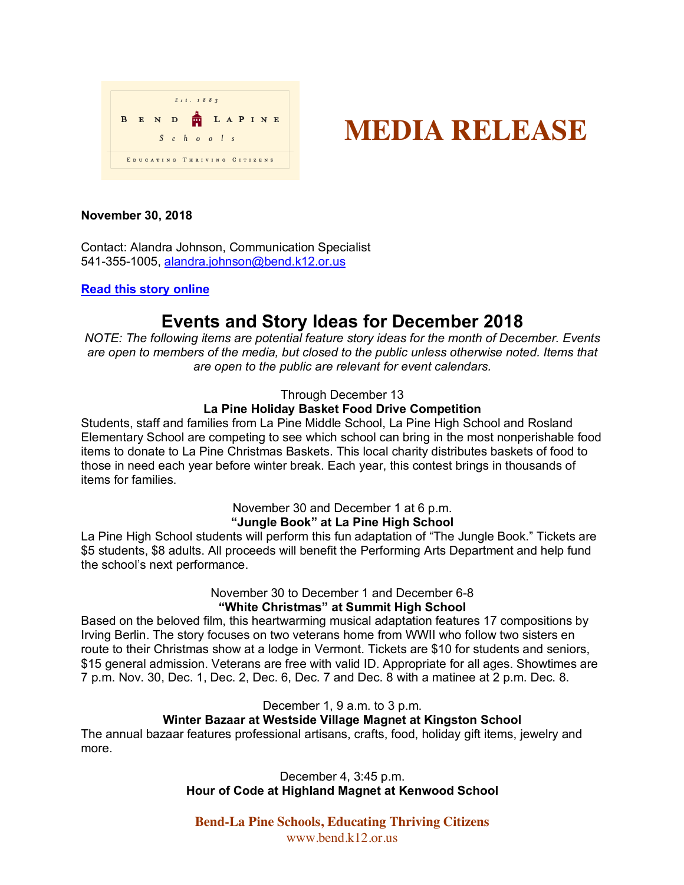

# **MEDIA RELEASE**

# **November 30, 2018**

Contact: Alandra Johnson, Communication Specialist 541-355-1005, alandra.johnson@bend.k12.or.us

#### **Read this story online**

# **Events and Story Ideas for December 2018**

*NOTE: The following items are potential feature story ideas for the month of December. Events are open to members of the media, but closed to the public unless otherwise noted. Items that are open to the public are relevant for event calendars.*

## Through December 13

# **La Pine Holiday Basket Food Drive Competition**

Students, staff and families from La Pine Middle School, La Pine High School and Rosland Elementary School are competing to see which school can bring in the most nonperishable food items to donate to La Pine Christmas Baskets. This local charity distributes baskets of food to those in need each year before winter break. Each year, this contest brings in thousands of items for families.

# November 30 and December 1 at 6 p.m. **"Jungle Book" at La Pine High School**

La Pine High School students will perform this fun adaptation of "The Jungle Book." Tickets are \$5 students, \$8 adults. All proceeds will benefit the Performing Arts Department and help fund the school's next performance.

## November 30 to December 1 and December 6-8 **"White Christmas" at Summit High School**

Based on the beloved film, this heartwarming musical adaptation features 17 compositions by Irving Berlin. The story focuses on two veterans home from WWII who follow two sisters en route to their Christmas show at a lodge in Vermont. Tickets are \$10 for students and seniors, \$15 general admission. Veterans are free with valid ID. Appropriate for all ages. Showtimes are 7 p.m. Nov. 30, Dec. 1, Dec. 2, Dec. 6, Dec. 7 and Dec. 8 with a matinee at 2 p.m. Dec. 8.

December 1, 9 a.m. to 3 p.m.

# **Winter Bazaar at Westside Village Magnet at Kingston School**

The annual bazaar features professional artisans, crafts, food, holiday gift items, jewelry and more.

> December 4, 3:45 p.m. **Hour of Code at Highland Magnet at Kenwood School**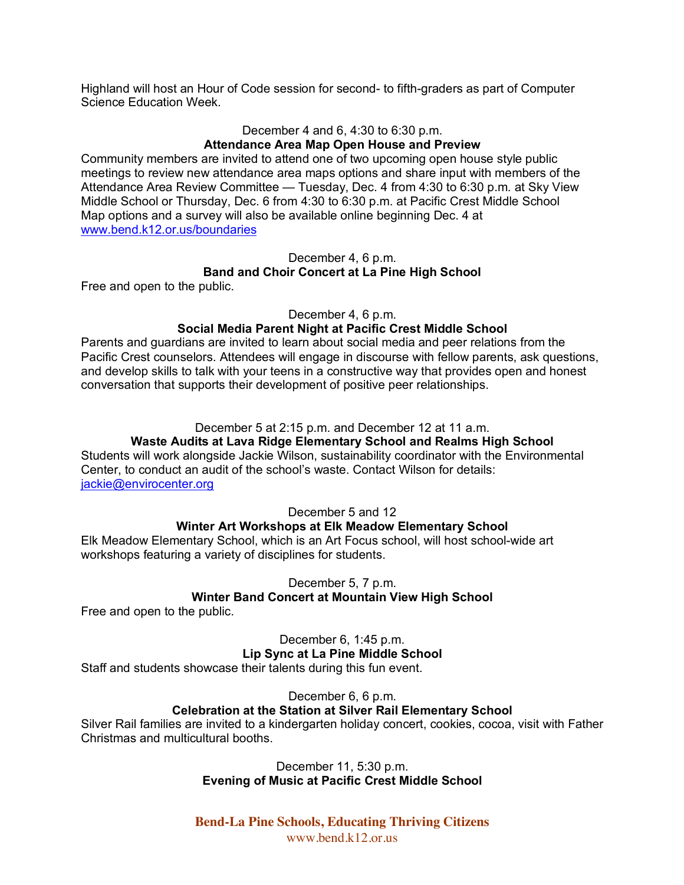Highland will host an Hour of Code session for second- to fifth-graders as part of Computer Science Education Week.

#### December 4 and 6, 4:30 to 6:30 p.m.

#### **Attendance Area Map Open House and Preview**

Community members are invited to attend one of two upcoming open house style public meetings to review new attendance area maps options and share input with members of the Attendance Area Review Committee — Tuesday, Dec. 4 from 4:30 to 6:30 p.m. at Sky View Middle School or Thursday, Dec. 6 from 4:30 to 6:30 p.m. at Pacific Crest Middle School Map options and a survey will also be available online beginning Dec. 4 at www.bend.k12.or.us/boundaries

#### December 4, 6 p.m.

#### **Band and Choir Concert at La Pine High School**

Free and open to the public.

#### December 4, 6 p.m.

#### **Social Media Parent Night at Pacific Crest Middle School**

Parents and guardians are invited to learn about social media and peer relations from the Pacific Crest counselors. Attendees will engage in discourse with fellow parents, ask questions, and develop skills to talk with your teens in a constructive way that provides open and honest conversation that supports their development of positive peer relationships.

#### December 5 at 2:15 p.m. and December 12 at 11 a.m.

# **Waste Audits at Lava Ridge Elementary School and Realms High School**

Students will work alongside Jackie Wilson, sustainability coordinator with the Environmental Center, to conduct an audit of the school's waste. Contact Wilson for details: jackie@envirocenter.org

#### December 5 and 12

#### **Winter Art Workshops at Elk Meadow Elementary School**

Elk Meadow Elementary School, which is an Art Focus school, will host school-wide art workshops featuring a variety of disciplines for students.

#### December 5, 7 p.m.

# **Winter Band Concert at Mountain View High School**

Free and open to the public.

December 6, 1:45 p.m. **Lip Sync at La Pine Middle School**

Staff and students showcase their talents during this fun event.

# December 6, 6 p.m.

# **Celebration at the Station at Silver Rail Elementary School**

Silver Rail families are invited to a kindergarten holiday concert, cookies, cocoa, visit with Father Christmas and multicultural booths.

#### December 11, 5:30 p.m. **Evening of Music at Pacific Crest Middle School**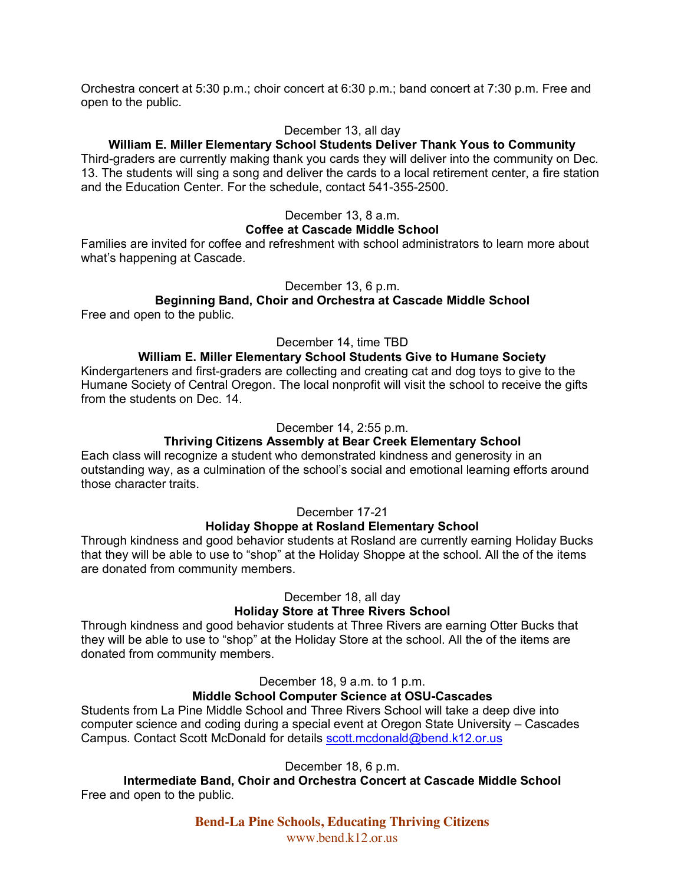Orchestra concert at 5:30 p.m.; choir concert at 6:30 p.m.; band concert at 7:30 p.m. Free and open to the public.

#### December 13, all day

#### **William E. Miller Elementary School Students Deliver Thank Yous to Community**

Third-graders are currently making thank you cards they will deliver into the community on Dec. 13. The students will sing a song and deliver the cards to a local retirement center, a fire station and the Education Center. For the schedule, contact 541-355-2500.

# December 13, 8 a.m.

# **Coffee at Cascade Middle School**

Families are invited for coffee and refreshment with school administrators to learn more about what's happening at Cascade.

#### December 13, 6 p.m.

# **Beginning Band, Choir and Orchestra at Cascade Middle School**

Free and open to the public.

#### December 14, time TBD

# **William E. Miller Elementary School Students Give to Humane Society**

Kindergarteners and first-graders are collecting and creating cat and dog toys to give to the Humane Society of Central Oregon. The local nonprofit will visit the school to receive the gifts from the students on Dec. 14

#### December 14, 2:55 p.m.

#### **Thriving Citizens Assembly at Bear Creek Elementary School**

Each class will recognize a student who demonstrated kindness and generosity in an outstanding way, as a culmination of the school's social and emotional learning efforts around those character traits.

### December 17-21

#### **Holiday Shoppe at Rosland Elementary School**

Through kindness and good behavior students at Rosland are currently earning Holiday Bucks that they will be able to use to "shop" at the Holiday Shoppe at the school. All the of the items are donated from community members.

#### December 18, all day

## **Holiday Store at Three Rivers School**

Through kindness and good behavior students at Three Rivers are earning Otter Bucks that they will be able to use to "shop" at the Holiday Store at the school. All the of the items are donated from community members.

## December 18, 9 a.m. to 1 p.m.

#### **Middle School Computer Science at OSU-Cascades**

Students from La Pine Middle School and Three Rivers School will take a deep dive into computer science and coding during a special event at Oregon State University – Cascades Campus. Contact Scott McDonald for details scott.mcdonald@bend.k12.or.us

#### December 18, 6 p.m.

**Intermediate Band, Choir and Orchestra Concert at Cascade Middle School** Free and open to the public.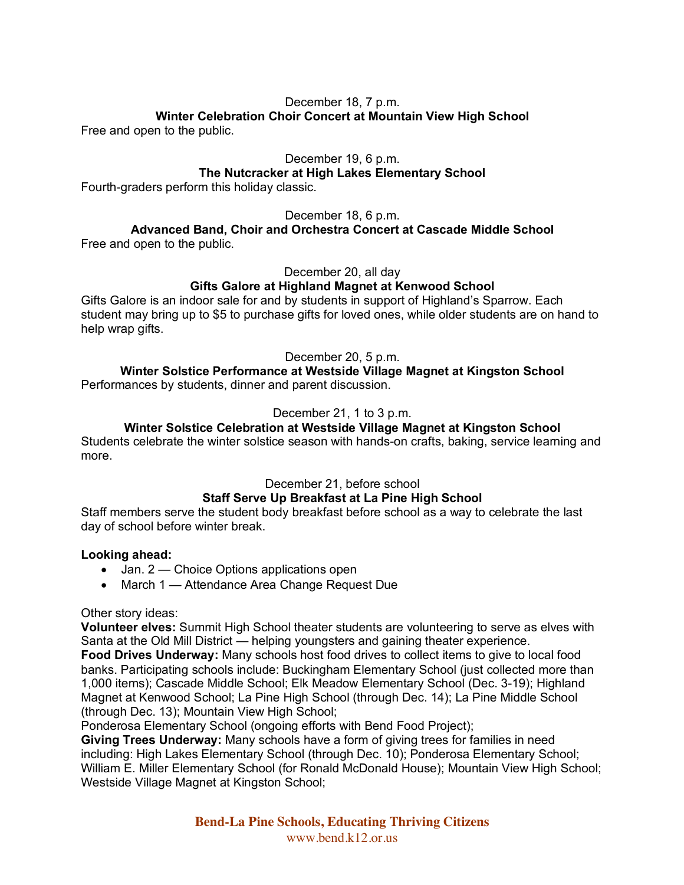# December 18, 7 p.m.

# **Winter Celebration Choir Concert at Mountain View High School**

Free and open to the public.

December 19, 6 p.m.

# **The Nutcracker at High Lakes Elementary School**

Fourth-graders perform this holiday classic.

December 18, 6 p.m.

**Advanced Band, Choir and Orchestra Concert at Cascade Middle School** Free and open to the public.

December 20, all day

# **Gifts Galore at Highland Magnet at Kenwood School**

Gifts Galore is an indoor sale for and by students in support of Highland's Sparrow. Each student may bring up to \$5 to purchase gifts for loved ones, while older students are on hand to help wrap gifts.

December 20, 5 p.m.

# **Winter Solstice Performance at Westside Village Magnet at Kingston School**

Performances by students, dinner and parent discussion.

December 21, 1 to 3 p.m.

# **Winter Solstice Celebration at Westside Village Magnet at Kingston School**

Students celebrate the winter solstice season with hands-on crafts, baking, service learning and more.

December 21, before school

# **Staff Serve Up Breakfast at La Pine High School**

Staff members serve the student body breakfast before school as a way to celebrate the last day of school before winter break.

# **Looking ahead:**

- Jan. 2 Choice Options applications open
- March 1 Attendance Area Change Request Due

Other story ideas:

**Volunteer elves:** Summit High School theater students are volunteering to serve as elves with Santa at the Old Mill District — helping youngsters and gaining theater experience. **Food Drives Underway:** Many schools host food drives to collect items to give to local food

banks. Participating schools include: Buckingham Elementary School (just collected more than 1,000 items); Cascade Middle School; Elk Meadow Elementary School (Dec. 3-19); Highland Magnet at Kenwood School; La Pine High School (through Dec. 14); La Pine Middle School (through Dec. 13); Mountain View High School;

Ponderosa Elementary School (ongoing efforts with Bend Food Project);

**Giving Trees Underway:** Many schools have a form of giving trees for families in need including: High Lakes Elementary School (through Dec. 10); Ponderosa Elementary School; William E. Miller Elementary School (for Ronald McDonald House); Mountain View High School; Westside Village Magnet at Kingston School;